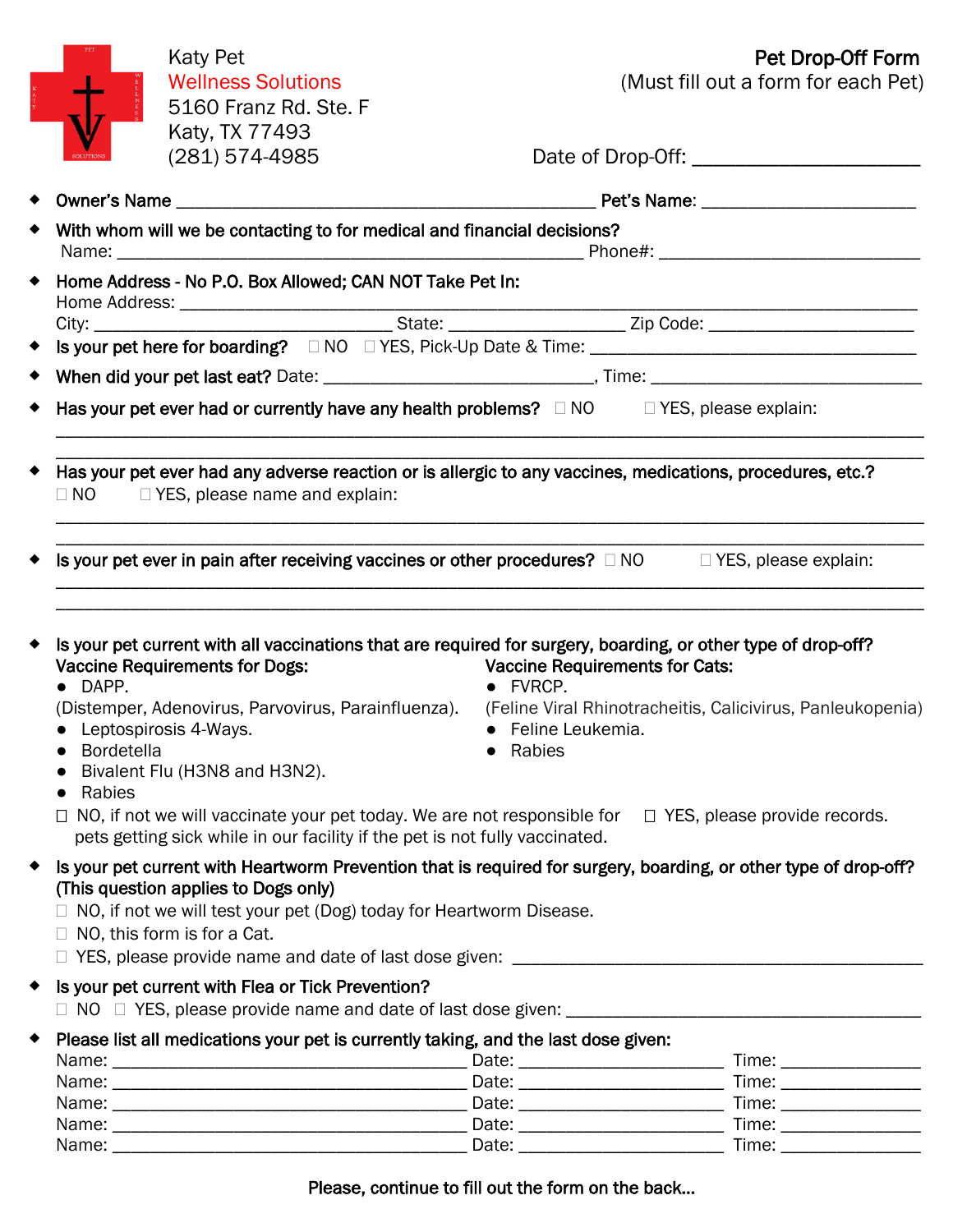| <b>Katy Pet</b>                                                                                                    |                                       | Pet Drop-Off Form                                                                                                                                                                                                                                                                                                                                                                                             |
|--------------------------------------------------------------------------------------------------------------------|---------------------------------------|---------------------------------------------------------------------------------------------------------------------------------------------------------------------------------------------------------------------------------------------------------------------------------------------------------------------------------------------------------------------------------------------------------------|
| <b>Wellness Solutions</b>                                                                                          |                                       | (Must fill out a form for each Pet)                                                                                                                                                                                                                                                                                                                                                                           |
| 5160 Franz Rd. Ste. F                                                                                              |                                       |                                                                                                                                                                                                                                                                                                                                                                                                               |
| Katy, TX 77493                                                                                                     |                                       |                                                                                                                                                                                                                                                                                                                                                                                                               |
| $(281)$ 574-4985                                                                                                   |                                       |                                                                                                                                                                                                                                                                                                                                                                                                               |
|                                                                                                                    |                                       |                                                                                                                                                                                                                                                                                                                                                                                                               |
| With whom will we be contacting to for medical and financial decisions?                                            |                                       |                                                                                                                                                                                                                                                                                                                                                                                                               |
|                                                                                                                    |                                       |                                                                                                                                                                                                                                                                                                                                                                                                               |
| Home Address - No P.O. Box Allowed; CAN NOT Take Pet In:                                                           |                                       |                                                                                                                                                                                                                                                                                                                                                                                                               |
|                                                                                                                    |                                       |                                                                                                                                                                                                                                                                                                                                                                                                               |
|                                                                                                                    |                                       |                                                                                                                                                                                                                                                                                                                                                                                                               |
| Is your pet here for boarding? □ NO □ YES, Pick-Up Date & Time: ___________________________________                |                                       |                                                                                                                                                                                                                                                                                                                                                                                                               |
| When did your pet last eat? Date: ___________________________________, Time: _________________________________     |                                       |                                                                                                                                                                                                                                                                                                                                                                                                               |
|                                                                                                                    |                                       |                                                                                                                                                                                                                                                                                                                                                                                                               |
| Has your pet ever had or currently have any health problems? $\Box$ NO $\Box$ YES, please explain:                 |                                       |                                                                                                                                                                                                                                                                                                                                                                                                               |
|                                                                                                                    |                                       |                                                                                                                                                                                                                                                                                                                                                                                                               |
| Has your pet ever had any adverse reaction or is allergic to any vaccines, medications, procedures, etc.?          |                                       |                                                                                                                                                                                                                                                                                                                                                                                                               |
| $\Box$ NO $\Box$ YES, please name and explain:                                                                     |                                       |                                                                                                                                                                                                                                                                                                                                                                                                               |
|                                                                                                                    |                                       |                                                                                                                                                                                                                                                                                                                                                                                                               |
| Is your pet ever in pain after receiving vaccines or other procedures? $\Box$ NO $\Box$ YES, please explain:       |                                       |                                                                                                                                                                                                                                                                                                                                                                                                               |
|                                                                                                                    |                                       |                                                                                                                                                                                                                                                                                                                                                                                                               |
|                                                                                                                    |                                       |                                                                                                                                                                                                                                                                                                                                                                                                               |
|                                                                                                                    |                                       |                                                                                                                                                                                                                                                                                                                                                                                                               |
| Is your pet current with all vaccinations that are required for surgery, boarding, or other type of drop-off?      |                                       |                                                                                                                                                                                                                                                                                                                                                                                                               |
| <b>Vaccine Requirements for Dogs:</b>                                                                              | <b>Vaccine Requirements for Cats:</b> |                                                                                                                                                                                                                                                                                                                                                                                                               |
| • DAPP.                                                                                                            | • FVRCP.                              |                                                                                                                                                                                                                                                                                                                                                                                                               |
| (Distemper, Adenovirus, Parvovirus, Parainfluenza). (Feline Viral Rhinotracheitis, Calicivirus, Panleukopenia)     |                                       |                                                                                                                                                                                                                                                                                                                                                                                                               |
| • Leptospirosis 4-Ways.                                                                                            | • Feline Leukemia.                    |                                                                                                                                                                                                                                                                                                                                                                                                               |
| <b>Bordetella</b>                                                                                                  | Rabies                                |                                                                                                                                                                                                                                                                                                                                                                                                               |
| Bivalent Flu (H3N8 and H3N2).                                                                                      |                                       |                                                                                                                                                                                                                                                                                                                                                                                                               |
| Rabies                                                                                                             |                                       |                                                                                                                                                                                                                                                                                                                                                                                                               |
| $\Box$ NO, if not we will vaccinate your pet today. We are not responsible for $\Box$ YES, please provide records. |                                       |                                                                                                                                                                                                                                                                                                                                                                                                               |
| pets getting sick while in our facility if the pet is not fully vaccinated.                                        |                                       |                                                                                                                                                                                                                                                                                                                                                                                                               |
| Is your pet current with Heartworm Prevention that is required for surgery, boarding, or other type of drop-off?   |                                       |                                                                                                                                                                                                                                                                                                                                                                                                               |
| (This question applies to Dogs only)                                                                               |                                       |                                                                                                                                                                                                                                                                                                                                                                                                               |
| $\Box$ NO, if not we will test your pet (Dog) today for Heartworm Disease.                                         |                                       |                                                                                                                                                                                                                                                                                                                                                                                                               |
| $\Box$ NO, this form is for a Cat.                                                                                 |                                       |                                                                                                                                                                                                                                                                                                                                                                                                               |
|                                                                                                                    |                                       |                                                                                                                                                                                                                                                                                                                                                                                                               |
|                                                                                                                    |                                       |                                                                                                                                                                                                                                                                                                                                                                                                               |
| Is your pet current with Flea or Tick Prevention?                                                                  |                                       |                                                                                                                                                                                                                                                                                                                                                                                                               |
|                                                                                                                    |                                       |                                                                                                                                                                                                                                                                                                                                                                                                               |
| Please list all medications your pet is currently taking, and the last dose given:                                 |                                       |                                                                                                                                                                                                                                                                                                                                                                                                               |
|                                                                                                                    |                                       | Time: _________________                                                                                                                                                                                                                                                                                                                                                                                       |
|                                                                                                                    |                                       | Time: _________________                                                                                                                                                                                                                                                                                                                                                                                       |
|                                                                                                                    |                                       | Time: $\frac{1}{\sqrt{1-\frac{1}{2}}\sqrt{1-\frac{1}{2}}\sqrt{1-\frac{1}{2}}\sqrt{1-\frac{1}{2}}\sqrt{1-\frac{1}{2}}\sqrt{1-\frac{1}{2}}\sqrt{1-\frac{1}{2}}\sqrt{1-\frac{1}{2}}\sqrt{1-\frac{1}{2}}\sqrt{1-\frac{1}{2}}\sqrt{1-\frac{1}{2}}\sqrt{1-\frac{1}{2}}\sqrt{1-\frac{1}{2}}\sqrt{1-\frac{1}{2}}\sqrt{1-\frac{1}{2}}\sqrt{1-\frac{1}{2}}\sqrt{1-\frac{1}{2}}\sqrt{1-\frac{1}{2}}\sqrt{1-\frac{1}{2}}$ |
|                                                                                                                    |                                       | Time: _________________                                                                                                                                                                                                                                                                                                                                                                                       |
|                                                                                                                    |                                       |                                                                                                                                                                                                                                                                                                                                                                                                               |

#### Please, continue to fill out the form on the back…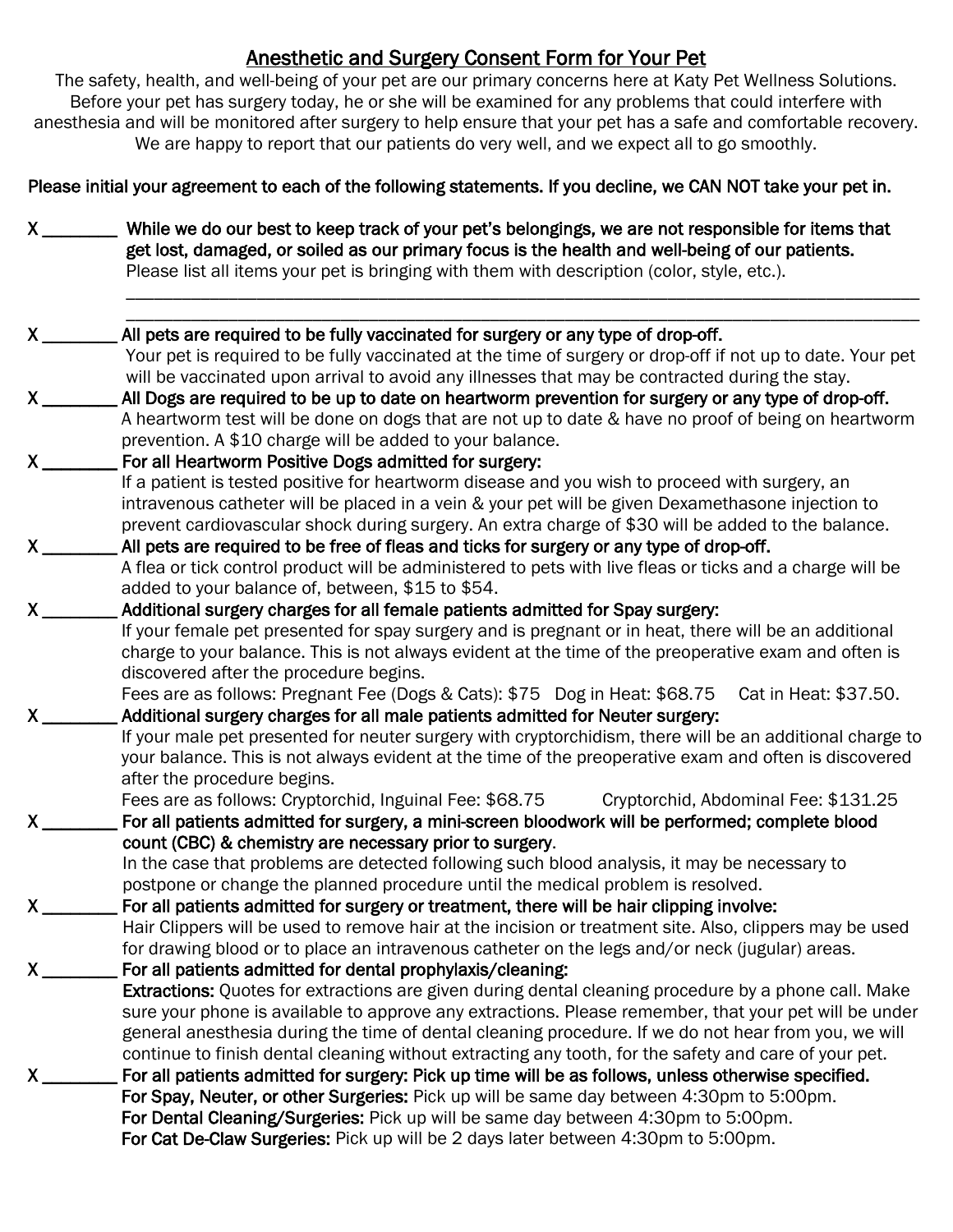# Anesthetic and Surgery Consent Form for Your Pet

The safety, health, and well-being of your pet are our primary concerns here at Katy Pet Wellness Solutions. Before your pet has surgery today, he or she will be examined for any problems that could interfere with anesthesia and will be monitored after surgery to help ensure that your pet has a safe and comfortable recovery. We are happy to report that our patients do very well, and we expect all to go smoothly.

Please initial your agreement to each of the following statements. If you decline, we CAN NOT take your pet in.

X \_\_\_\_\_\_\_\_ While we do our best to keep track of your pet's belongings, we are not responsible for items that get lost, damaged, or soiled as our primary focus is the health and well-being of our patients. Please list all items your pet is bringing with them with description (color, style, etc.). \_\_\_\_\_\_\_\_\_\_\_\_\_\_\_\_\_\_\_\_\_\_\_\_\_\_\_\_\_\_\_\_\_\_\_\_\_\_\_\_\_\_\_\_\_\_\_\_\_\_\_\_\_\_\_\_\_\_\_\_\_\_\_\_\_\_\_\_\_\_\_\_\_\_\_\_\_\_\_\_\_\_\_\_\_

| $X_{\_\_\_\_\$                | All pets are required to be fully vaccinated for surgery or any type of drop-off.                                                                                               |  |  |  |
|-------------------------------|---------------------------------------------------------------------------------------------------------------------------------------------------------------------------------|--|--|--|
|                               | Your pet is required to be fully vaccinated at the time of surgery or drop-off if not up to date. Your pet                                                                      |  |  |  |
|                               | will be vaccinated upon arrival to avoid any illnesses that may be contracted during the stay.                                                                                  |  |  |  |
| $\mathsf{X}$                  | All Dogs are required to be up to date on heartworm prevention for surgery or any type of drop-off.                                                                             |  |  |  |
|                               | A heartworm test will be done on dogs that are not up to date & have no proof of being on heartworm                                                                             |  |  |  |
|                               | prevention. A \$10 charge will be added to your balance.                                                                                                                        |  |  |  |
| $\mathsf{X}$                  | For all Heartworm Positive Dogs admitted for surgery:                                                                                                                           |  |  |  |
|                               | If a patient is tested positive for heartworm disease and you wish to proceed with surgery, an                                                                                  |  |  |  |
|                               | intravenous catheter will be placed in a vein & your pet will be given Dexamethasone injection to                                                                               |  |  |  |
|                               | prevent cardiovascular shock during surgery. An extra charge of \$30 will be added to the balance.                                                                              |  |  |  |
| $\mathsf{X}$                  | All pets are required to be free of fleas and ticks for surgery or any type of drop-off.                                                                                        |  |  |  |
|                               | A flea or tick control product will be administered to pets with live fleas or ticks and a charge will be                                                                       |  |  |  |
|                               | added to your balance of, between, \$15 to \$54.                                                                                                                                |  |  |  |
| $\mathsf{X}$ and $\mathsf{X}$ | Additional surgery charges for all female patients admitted for Spay surgery:                                                                                                   |  |  |  |
|                               | If your female pet presented for spay surgery and is pregnant or in heat, there will be an additional                                                                           |  |  |  |
|                               | charge to your balance. This is not always evident at the time of the preoperative exam and often is                                                                            |  |  |  |
|                               | discovered after the procedure begins.                                                                                                                                          |  |  |  |
|                               | Fees are as follows: Pregnant Fee (Dogs & Cats): \$75 Dog in Heat: \$68.75 Cat in Heat: \$37.50.                                                                                |  |  |  |
|                               | Additional surgery charges for all male patients admitted for Neuter surgery:                                                                                                   |  |  |  |
|                               | If your male pet presented for neuter surgery with cryptorchidism, there will be an additional charge to                                                                        |  |  |  |
|                               | your balance. This is not always evident at the time of the preoperative exam and often is discovered                                                                           |  |  |  |
|                               | after the procedure begins.                                                                                                                                                     |  |  |  |
|                               | Fees are as follows: Cryptorchid, Inguinal Fee: \$68.75<br>Cryptorchid, Abdominal Fee: \$131.25                                                                                 |  |  |  |
| $\mathsf{X}$                  | For all patients admitted for surgery, a mini-screen bloodwork will be performed; complete blood                                                                                |  |  |  |
|                               | count (CBC) & chemistry are necessary prior to surgery.                                                                                                                         |  |  |  |
|                               | In the case that problems are detected following such blood analysis, it may be necessary to<br>postpone or change the planned procedure until the medical problem is resolved. |  |  |  |
| $X_{--}$                      | For all patients admitted for surgery or treatment, there will be hair clipping involve:                                                                                        |  |  |  |
|                               | Hair Clippers will be used to remove hair at the incision or treatment site. Also, clippers may be used                                                                         |  |  |  |
|                               | for drawing blood or to place an intravenous catheter on the legs and/or neck (jugular) areas.                                                                                  |  |  |  |
| $\mathsf{X}$                  | For all patients admitted for dental prophylaxis/cleaning:                                                                                                                      |  |  |  |
|                               | Extractions: Quotes for extractions are given during dental cleaning procedure by a phone call. Make                                                                            |  |  |  |
|                               | sure your phone is available to approve any extractions. Please remember, that your pet will be under                                                                           |  |  |  |
|                               | general anesthesia during the time of dental cleaning procedure. If we do not hear from you, we will                                                                            |  |  |  |
|                               | continue to finish dental cleaning without extracting any tooth, for the safety and care of your pet.                                                                           |  |  |  |
| X.                            | For all patients admitted for surgery: Pick up time will be as follows, unless otherwise specified.                                                                             |  |  |  |
|                               | For Spay, Neuter, or other Surgeries: Pick up will be same day between 4:30pm to 5:00pm.                                                                                        |  |  |  |
|                               | For Dental Cleaning/Surgeries: Pick up will be same day between 4:30pm to 5:00pm.                                                                                               |  |  |  |
|                               | For Cat De-Claw Surgeries: Pick up will be 2 days later between 4:30pm to 5:00pm.                                                                                               |  |  |  |
|                               |                                                                                                                                                                                 |  |  |  |